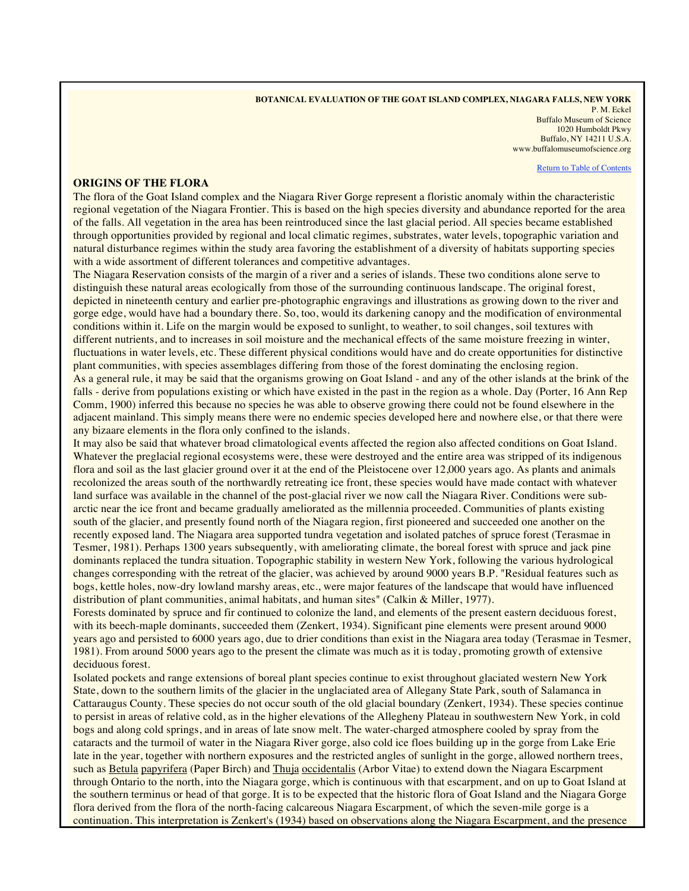## **BOTANICAL EVALUATION OF THE GOAT ISLAND COMPLEX, NIAGARA FALLS, NEW YORK**

P. M. Eckel Buffalo Museum of Science 1020 Humboldt Pkwy Buffalo, NY 14211 U.S.A. www.buffalomuseumofscience.org

Return to Table of Contents

## **ORIGINS OF THE FLORA**

The flora of the Goat Island complex and the Niagara River Gorge represent a floristic anomaly within the characteristic regional vegetation of the Niagara Frontier. This is based on the high species diversity and abundance reported for the area of the falls. All vegetation in the area has been reintroduced since the last glacial period. All species became established through opportunities provided by regional and local climatic regimes, substrates, water levels, topographic variation and natural disturbance regimes within the study area favoring the establishment of a diversity of habitats supporting species with a wide assortment of different tolerances and competitive advantages.

The Niagara Reservation consists of the margin of a river and a series of islands. These two conditions alone serve to distinguish these natural areas ecologically from those of the surrounding continuous landscape. The original forest, depicted in nineteenth century and earlier pre-photographic engravings and illustrations as growing down to the river and gorge edge, would have had a boundary there. So, too, would its darkening canopy and the modification of environmental conditions within it. Life on the margin would be exposed to sunlight, to weather, to soil changes, soil textures with different nutrients, and to increases in soil moisture and the mechanical effects of the same moisture freezing in winter, fluctuations in water levels, etc. These different physical conditions would have and do create opportunities for distinctive plant communities, with species assemblages differing from those of the forest dominating the enclosing region. As a general rule, it may be said that the organisms growing on Goat Island - and any of the other islands at the brink of the falls - derive from populations existing or which have existed in the past in the region as a whole. Day (Porter, 16 Ann Rep Comm, 1900) inferred this because no species he was able to observe growing there could not be found elsewhere in the adjacent mainland. This simply means there were no endemic species developed here and nowhere else, or that there were any bizaare elements in the flora only confined to the islands.

It may also be said that whatever broad climatological events affected the region also affected conditions on Goat Island. Whatever the preglacial regional ecosystems were, these were destroyed and the entire area was stripped of its indigenous flora and soil as the last glacier ground over it at the end of the Pleistocene over 12,000 years ago. As plants and animals recolonized the areas south of the northwardly retreating ice front, these species would have made contact with whatever land surface was available in the channel of the post-glacial river we now call the Niagara River. Conditions were subarctic near the ice front and became gradually ameliorated as the millennia proceeded. Communities of plants existing south of the glacier, and presently found north of the Niagara region, first pioneered and succeeded one another on the recently exposed land. The Niagara area supported tundra vegetation and isolated patches of spruce forest (Terasmae in Tesmer, 1981). Perhaps 1300 years subsequently, with ameliorating climate, the boreal forest with spruce and jack pine dominants replaced the tundra situation. Topographic stability in western New York, following the various hydrological changes corresponding with the retreat of the glacier, was achieved by around 9000 years B.P. "Residual features such as bogs, kettle holes, now-dry lowland marshy areas, etc., were major features of the landscape that would have influenced distribution of plant communities, animal habitats, and human sites" (Calkin & Miller, 1977).

Forests dominated by spruce and fir continued to colonize the land, and elements of the present eastern deciduous forest, with its beech-maple dominants, succeeded them (Zenkert, 1934). Significant pine elements were present around 9000 years ago and persisted to 6000 years ago, due to drier conditions than exist in the Niagara area today (Terasmae in Tesmer, 1981). From around 5000 years ago to the present the climate was much as it is today, promoting growth of extensive deciduous forest.

Isolated pockets and range extensions of boreal plant species continue to exist throughout glaciated western New York State, down to the southern limits of the glacier in the unglaciated area of Allegany State Park, south of Salamanca in Cattaraugus County. These species do not occur south of the old glacial boundary (Zenkert, 1934). These species continue to persist in areas of relative cold, as in the higher elevations of the Allegheny Plateau in southwestern New York, in cold bogs and along cold springs, and in areas of late snow melt. The water-charged atmosphere cooled by spray from the cataracts and the turmoil of water in the Niagara River gorge, also cold ice floes building up in the gorge from Lake Erie late in the year, together with northern exposures and the restricted angles of sunlight in the gorge, allowed northern trees, such as Betula papyrifera (Paper Birch) and Thuja occidentalis (Arbor Vitae) to extend down the Niagara Escarpment through Ontario to the north, into the Niagara gorge, which is continuous with that escarpment, and on up to Goat Island at the southern terminus or head of that gorge. It is to be expected that the historic flora of Goat Island and the Niagara Gorge flora derived from the flora of the north-facing calcareous Niagara Escarpment, of which the seven-mile gorge is a continuation. This interpretation is Zenkert's (1934) based on observations along the Niagara Escarpment, and the presence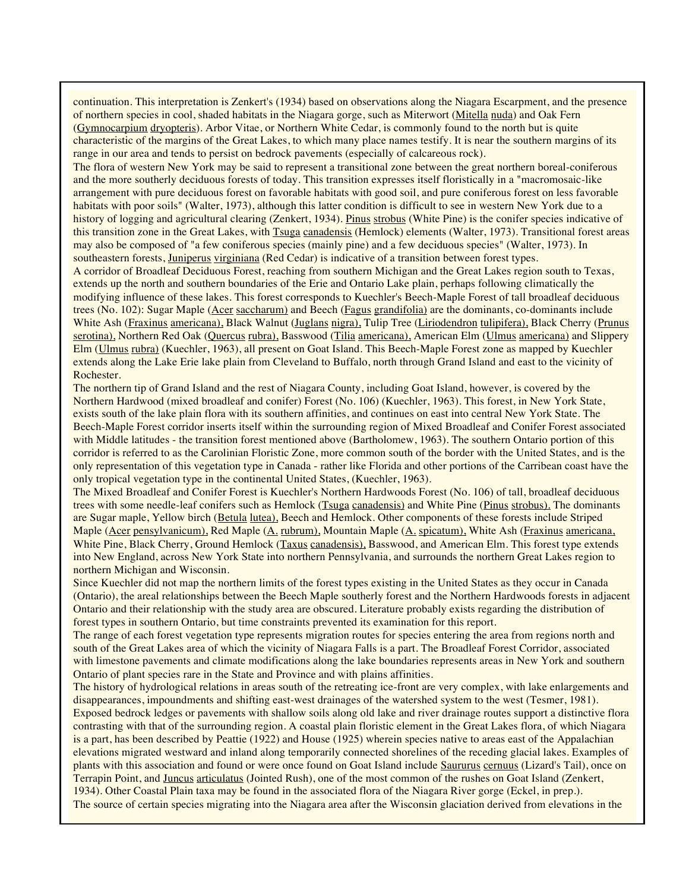continuation. This interpretation is Zenkert's (1934) based on observations along the Niagara Escarpment, and the presence of northern species in cool, shaded habitats in the Niagara gorge, such as Miterwort (Mitella nuda) and Oak Fern (Gymnocarpium dryopteris). Arbor Vitae, or Northern White Cedar, is commonly found to the north but is quite characteristic of the margins of the Great Lakes, to which many place names testify. It is near the southern margins of its range in our area and tends to persist on bedrock pavements (especially of calcareous rock).

The flora of western New York may be said to represent a transitional zone between the great northern boreal-coniferous and the more southerly deciduous forests of today. This transition expresses itself floristically in a "macromosaic-like arrangement with pure deciduous forest on favorable habitats with good soil, and pure coniferous forest on less favorable habitats with poor soils" (Walter, 1973), although this latter condition is difficult to see in western New York due to a history of logging and agricultural clearing (Zenkert, 1934). Pinus strobus (White Pine) is the conifer species indicative of this transition zone in the Great Lakes, with Tsuga canadensis (Hemlock) elements (Walter, 1973). Transitional forest areas may also be composed of "a few coniferous species (mainly pine) and a few deciduous species" (Walter, 1973). In southeastern forests, Juniperus virginiana (Red Cedar) is indicative of a transition between forest types.

A corridor of Broadleaf Deciduous Forest, reaching from southern Michigan and the Great Lakes region south to Texas, extends up the north and southern boundaries of the Erie and Ontario Lake plain, perhaps following climatically the modifying influence of these lakes. This forest corresponds to Kuechler's Beech-Maple Forest of tall broadleaf deciduous trees (No. 102): Sugar Maple (Acer saccharum) and Beech (Fagus grandifolia) are the dominants, co-dominants include White Ash (Fraxinus americana), Black Walnut (Juglans nigra), Tulip Tree (Liriodendron tulipifera), Black Cherry (Prunus serotina), Northern Red Oak (Quercus rubra), Basswood (Tilia americana), American Elm (Ulmus americana) and Slippery Elm (Ulmus rubra) (Kuechler, 1963), all present on Goat Island. This Beech-Maple Forest zone as mapped by Kuechler extends along the Lake Erie lake plain from Cleveland to Buffalo, north through Grand Island and east to the vicinity of Rochester.

The northern tip of Grand Island and the rest of Niagara County, including Goat Island, however, is covered by the Northern Hardwood (mixed broadleaf and conifer) Forest (No. 106) (Kuechler, 1963). This forest, in New York State, exists south of the lake plain flora with its southern affinities, and continues on east into central New York State. The Beech-Maple Forest corridor inserts itself within the surrounding region of Mixed Broadleaf and Conifer Forest associated with Middle latitudes - the transition forest mentioned above (Bartholomew, 1963). The southern Ontario portion of this corridor is referred to as the Carolinian Floristic Zone, more common south of the border with the United States, and is the only representation of this vegetation type in Canada - rather like Florida and other portions of the Carribean coast have the only tropical vegetation type in the continental United States, (Kuechler, 1963).

The Mixed Broadleaf and Conifer Forest is Kuechler's Northern Hardwoods Forest (No. 106) of tall, broadleaf deciduous trees with some needle-leaf conifers such as Hemlock (Tsuga canadensis) and White Pine (Pinus strobus). The dominants are Sugar maple, Yellow birch (Betula lutea), Beech and Hemlock. Other components of these forests include Striped Maple (Acer pensylvanicum), Red Maple (A. rubrum), Mountain Maple (A. spicatum), White Ash (Fraxinus americana, White Pine, Black Cherry, Ground Hemlock (Taxus canadensis), Basswood, and American Elm. This forest type extends into New England, across New York State into northern Pennsylvania, and surrounds the northern Great Lakes region to northern Michigan and Wisconsin.

Since Kuechler did not map the northern limits of the forest types existing in the United States as they occur in Canada (Ontario), the areal relationships between the Beech Maple southerly forest and the Northern Hardwoods forests in adjacent Ontario and their relationship with the study area are obscured. Literature probably exists regarding the distribution of forest types in southern Ontario, but time constraints prevented its examination for this report.

The range of each forest vegetation type represents migration routes for species entering the area from regions north and south of the Great Lakes area of which the vicinity of Niagara Falls is a part. The Broadleaf Forest Corridor, associated with limestone pavements and climate modifications along the lake boundaries represents areas in New York and southern Ontario of plant species rare in the State and Province and with plains affinities.

The history of hydrological relations in areas south of the retreating ice-front are very complex, with lake enlargements and disappearances, impoundments and shifting east-west drainages of the watershed system to the west (Tesmer, 1981). Exposed bedrock ledges or pavements with shallow soils along old lake and river drainage routes support a distinctive flora contrasting with that of the surrounding region. A coastal plain floristic element in the Great Lakes flora, of which Niagara is a part, has been described by Peattie (1922) and House (1925) wherein species native to areas east of the Appalachian elevations migrated westward and inland along temporarily connected shorelines of the receding glacial lakes. Examples of plants with this association and found or were once found on Goat Island include Saururus cernuus (Lizard's Tail), once on Terrapin Point, and Juncus articulatus (Jointed Rush), one of the most common of the rushes on Goat Island (Zenkert, 1934). Other Coastal Plain taxa may be found in the associated flora of the Niagara River gorge (Eckel, in prep.). The source of certain species migrating into the Niagara area after the Wisconsin glaciation derived from elevations in the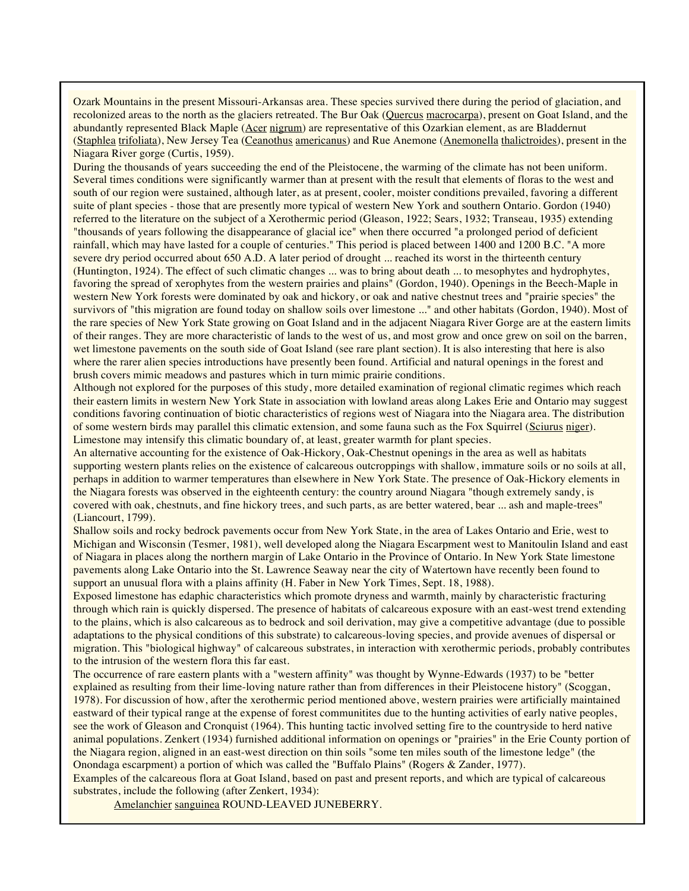Ozark Mountains in the present Missouri-Arkansas area. These species survived there during the period of glaciation, and recolonized areas to the north as the glaciers retreated. The Bur Oak (Quercus macrocarpa), present on Goat Island, and the abundantly represented Black Maple (Acer nigrum) are representative of this Ozarkian element, as are Bladdernut (Staphlea trifoliata), New Jersey Tea (Ceanothus americanus) and Rue Anemone (Anemonella thalictroides), present in the Niagara River gorge (Curtis, 1959).

During the thousands of years succeeding the end of the Pleistocene, the warming of the climate has not been uniform. Several times conditions were significantly warmer than at present with the result that elements of floras to the west and south of our region were sustained, although later, as at present, cooler, moister conditions prevailed, favoring a different suite of plant species - those that are presently more typical of western New York and southern Ontario. Gordon (1940) referred to the literature on the subject of a Xerothermic period (Gleason, 1922; Sears, 1932; Transeau, 1935) extending "thousands of years following the disappearance of glacial ice" when there occurred "a prolonged period of deficient rainfall, which may have lasted for a couple of centuries." This period is placed between 1400 and 1200 B.C. "A more severe dry period occurred about 650 A.D. A later period of drought ... reached its worst in the thirteenth century (Huntington, 1924). The effect of such climatic changes ... was to bring about death ... to mesophytes and hydrophytes, favoring the spread of xerophytes from the western prairies and plains" (Gordon, 1940). Openings in the Beech-Maple in western New York forests were dominated by oak and hickory, or oak and native chestnut trees and "prairie species" the survivors of "this migration are found today on shallow soils over limestone ..." and other habitats (Gordon, 1940). Most of the rare species of New York State growing on Goat Island and in the adjacent Niagara River Gorge are at the eastern limits of their ranges. They are more characteristic of lands to the west of us, and most grow and once grew on soil on the barren, wet limestone pavements on the south side of Goat Island (see rare plant section). It is also interesting that here is also where the rarer alien species introductions have presently been found. Artificial and natural openings in the forest and brush covers mimic meadows and pastures which in turn mimic prairie conditions.

Although not explored for the purposes of this study, more detailed examination of regional climatic regimes which reach their eastern limits in western New York State in association with lowland areas along Lakes Erie and Ontario may suggest conditions favoring continuation of biotic characteristics of regions west of Niagara into the Niagara area. The distribution of some western birds may parallel this climatic extension, and some fauna such as the Fox Squirrel (Sciurus niger). Limestone may intensify this climatic boundary of, at least, greater warmth for plant species.

An alternative accounting for the existence of Oak-Hickory, Oak-Chestnut openings in the area as well as habitats supporting western plants relies on the existence of calcareous outcroppings with shallow, immature soils or no soils at all, perhaps in addition to warmer temperatures than elsewhere in New York State. The presence of Oak-Hickory elements in the Niagara forests was observed in the eighteenth century: the country around Niagara "though extremely sandy, is covered with oak, chestnuts, and fine hickory trees, and such parts, as are better watered, bear ... ash and maple-trees" (Liancourt, 1799).

Shallow soils and rocky bedrock pavements occur from New York State, in the area of Lakes Ontario and Erie, west to Michigan and Wisconsin (Tesmer, 1981), well developed along the Niagara Escarpment west to Manitoulin Island and east of Niagara in places along the northern margin of Lake Ontario in the Province of Ontario. In New York State limestone pavements along Lake Ontario into the St. Lawrence Seaway near the city of Watertown have recently been found to support an unusual flora with a plains affinity (H. Faber in New York Times, Sept. 18, 1988).

Exposed limestone has edaphic characteristics which promote dryness and warmth, mainly by characteristic fracturing through which rain is quickly dispersed. The presence of habitats of calcareous exposure with an east-west trend extending to the plains, which is also calcareous as to bedrock and soil derivation, may give a competitive advantage (due to possible adaptations to the physical conditions of this substrate) to calcareous-loving species, and provide avenues of dispersal or migration. This "biological highway" of calcareous substrates, in interaction with xerothermic periods, probably contributes to the intrusion of the western flora this far east.

The occurrence of rare eastern plants with a "western affinity" was thought by Wynne-Edwards (1937) to be "better explained as resulting from their lime-loving nature rather than from differences in their Pleistocene history" (Scoggan, 1978). For discussion of how, after the xerothermic period mentioned above, western prairies were artificially maintained eastward of their typical range at the expense of forest communitites due to the hunting activities of early native peoples, see the work of Gleason and Cronquist (1964). This hunting tactic involved setting fire to the countryside to herd native animal populations. Zenkert (1934) furnished additional information on openings or "prairies" in the Erie County portion of the Niagara region, aligned in an east-west direction on thin soils "some ten miles south of the limestone ledge" (the Onondaga escarpment) a portion of which was called the "Buffalo Plains" (Rogers & Zander, 1977).

Examples of the calcareous flora at Goat Island, based on past and present reports, and which are typical of calcareous substrates, include the following (after Zenkert, 1934):

Amelanchier sanguinea ROUND-LEAVED JUNEBERRY.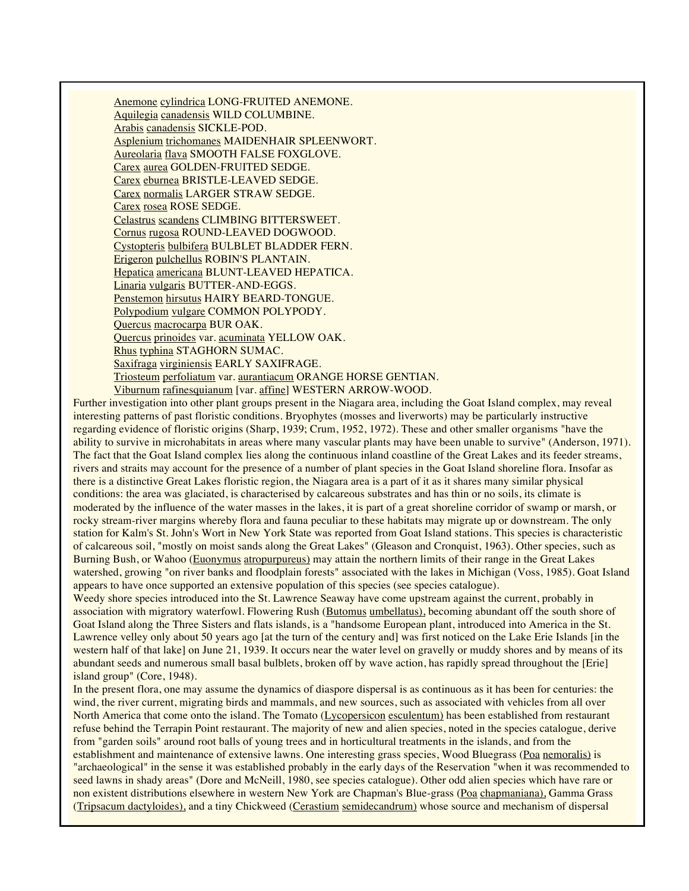Anemone cylindrica LONG-FRUITED ANEMONE. Aquilegia canadensis WILD COLUMBINE. Arabis canadensis SICKLE-POD. Asplenium trichomanes MAIDENHAIR SPLEENWORT. Aureolaria flava SMOOTH FALSE FOXGLOVE. Carex aurea GOLDEN-FRUITED SEDGE. Carex eburnea BRISTLE-LEAVED SEDGE. Carex normalis LARGER STRAW SEDGE. Carex rosea ROSE SEDGE. Celastrus scandens CLIMBING BITTERSWEET. Cornus rugosa ROUND-LEAVED DOGWOOD. Cystopteris bulbifera BULBLET BLADDER FERN. Erigeron pulchellus ROBIN'S PLANTAIN. Hepatica americana BLUNT-LEAVED HEPATICA. Linaria vulgaris BUTTER-AND-EGGS. Penstemon hirsutus HAIRY BEARD-TONGUE. Polypodium vulgare COMMON POLYPODY. Quercus macrocarpa BUR OAK. Quercus prinoides var. acuminata YELLOW OAK. Rhus typhina STAGHORN SUMAC. Saxifraga virginiensis EARLY SAXIFRAGE. Triosteum perfoliatum var. aurantiacum ORANGE HORSE GENTIAN. Viburnum rafinesquianum [var. affine] WESTERN ARROW-WOOD.

Further investigation into other plant groups present in the Niagara area, including the Goat Island complex, may reveal interesting patterns of past floristic conditions. Bryophytes (mosses and liverworts) may be particularly instructive regarding evidence of floristic origins (Sharp, 1939; Crum, 1952, 1972). These and other smaller organisms "have the ability to survive in microhabitats in areas where many vascular plants may have been unable to survive" (Anderson, 1971). The fact that the Goat Island complex lies along the continuous inland coastline of the Great Lakes and its feeder streams, rivers and straits may account for the presence of a number of plant species in the Goat Island shoreline flora. Insofar as there is a distinctive Great Lakes floristic region, the Niagara area is a part of it as it shares many similar physical conditions: the area was glaciated, is characterised by calcareous substrates and has thin or no soils, its climate is moderated by the influence of the water masses in the lakes, it is part of a great shoreline corridor of swamp or marsh, or rocky stream-river margins whereby flora and fauna peculiar to these habitats may migrate up or downstream. The only station for Kalm's St. John's Wort in New York State was reported from Goat Island stations. This species is characteristic of calcareous soil, "mostly on moist sands along the Great Lakes" (Gleason and Cronquist, 1963). Other species, such as Burning Bush, or Wahoo (Euonymus atropurpureus) may attain the northern limits of their range in the Great Lakes watershed, growing "on river banks and floodplain forests" associated with the lakes in Michigan (Voss, 1985). Goat Island appears to have once supported an extensive population of this species (see species catalogue).

Weedy shore species introduced into the St. Lawrence Seaway have come upstream against the current, probably in association with migratory waterfowl. Flowering Rush (Butomus umbellatus), becoming abundant off the south shore of Goat Island along the Three Sisters and flats islands, is a "handsome European plant, introduced into America in the St. Lawrence velley only about 50 years ago [at the turn of the century and] was first noticed on the Lake Erie Islands [in the western half of that lake] on June 21, 1939. It occurs near the water level on gravelly or muddy shores and by means of its abundant seeds and numerous small basal bulblets, broken off by wave action, has rapidly spread throughout the [Erie] island group" (Core, 1948).

In the present flora, one may assume the dynamics of diaspore dispersal is as continuous as it has been for centuries: the wind, the river current, migrating birds and mammals, and new sources, such as associated with vehicles from all over North America that come onto the island. The Tomato (Lycopersicon esculentum) has been established from restaurant refuse behind the Terrapin Point restaurant. The majority of new and alien species, noted in the species catalogue, derive from "garden soils" around root balls of young trees and in horticultural treatments in the islands, and from the establishment and maintenance of extensive lawns. One interesting grass species, Wood Bluegrass (Poa nemoralis) is "archaeological" in the sense it was established probably in the early days of the Reservation "when it was recommended to seed lawns in shady areas" (Dore and McNeill, 1980, see species catalogue). Other odd alien species which have rare or non existent distributions elsewhere in western New York are Chapman's Blue-grass (Poa chapmaniana), Gamma Grass (Tripsacum dactyloides), and a tiny Chickweed (Cerastium semidecandrum) whose source and mechanism of dispersal